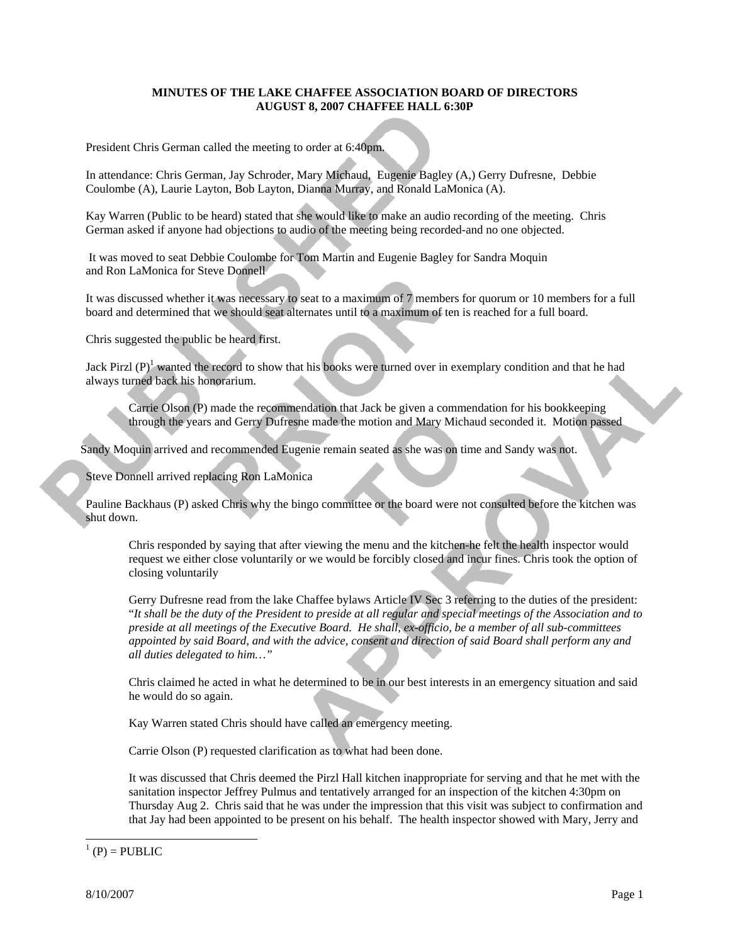## **MINUTES OF THE LAKE CHAFFEE ASSOCIATION BOARD OF DIRECTORS AUGUST 8, 2007 CHAFFEE HALL 6:30P**

President Chris German called the meeting to order at 6:40pm.

In attendance: Chris German, Jay Schroder, Mary Michaud, Eugenie Bagley (A,) Gerry Dufresne, Debbie Coulombe (A), Laurie Layton, Bob Layton, Dianna Murray, and Ronald LaMonica (A).

Kay Warren (Public to be heard) stated that she would like to make an audio recording of the meeting. Chris German asked if anyone had objections to audio of the meeting being recorded-and no one objected.

 It was moved to seat Debbie Coulombe for Tom Martin and Eugenie Bagley for Sandra Moquin and Ron LaMonica for Steve Donnell

It was discussed whether it was necessary to seat to a maximum of 7 members for quorum or 10 members for a full board and determined that we should seat alternates until to a maximum of ten is reached for a full board.

Chris suggested the public be heard first.

Jack Pirzl  $(P)^1$  wanted the record to show that his books were turned over in exemplary condition and that he had always turned back his honorarium.

Carrie Olson (P) made the recommendation that Jack be given a commendation for his bookkeeping through the years and Gerry Dufresne made the motion and Mary Michaud seconded it. Motion passed

Sandy Moquin arrived and recommended Eugenie remain seated as she was on time and Sandy was not.

Steve Donnell arrived replacing Ron LaMonica

Pauline Backhaus (P) asked Chris why the bingo committee or the board were not consulted before the kitchen was shut down.

Chris responded by saying that after viewing the menu and the kitchen-he felt the health inspector would request we either close voluntarily or we would be forcibly closed and incur fines. Chris took the option of closing voluntarily

Gerry Dufresne read from the lake Chaffee bylaws Article IV Sec 3 referring to the duties of the president: "*It shall be the duty of the President to preside at all regular and special meetings of the Association and to preside at all meetings of the Executive Board. He shall, ex-officio, be a member of all sub-committees appointed by said Board, and with the advice, consent and direction of said Board shall perform any and all duties delegated to him…"*

Chris claimed he acted in what he determined to be in our best interests in an emergency situation and said he would do so again.

Kay Warren stated Chris should have called an emergency meeting.

Carrie Olson (P) requested clarification as to what had been done.

It was discussed that Chris deemed the Pirzl Hall kitchen inappropriate for serving and that he met with the sanitation inspector Jeffrey Pulmus and tentatively arranged for an inspection of the kitchen 4:30pm on Thursday Aug 2. Chris said that he was under the impression that this visit was subject to confirmation and that Jay had been appointed to be present on his behalf. The health inspector showed with Mary, Jerry and

 $\overline{a}$ 

ľ

 $<sup>1</sup>$  (P) = PUBLIC</sup>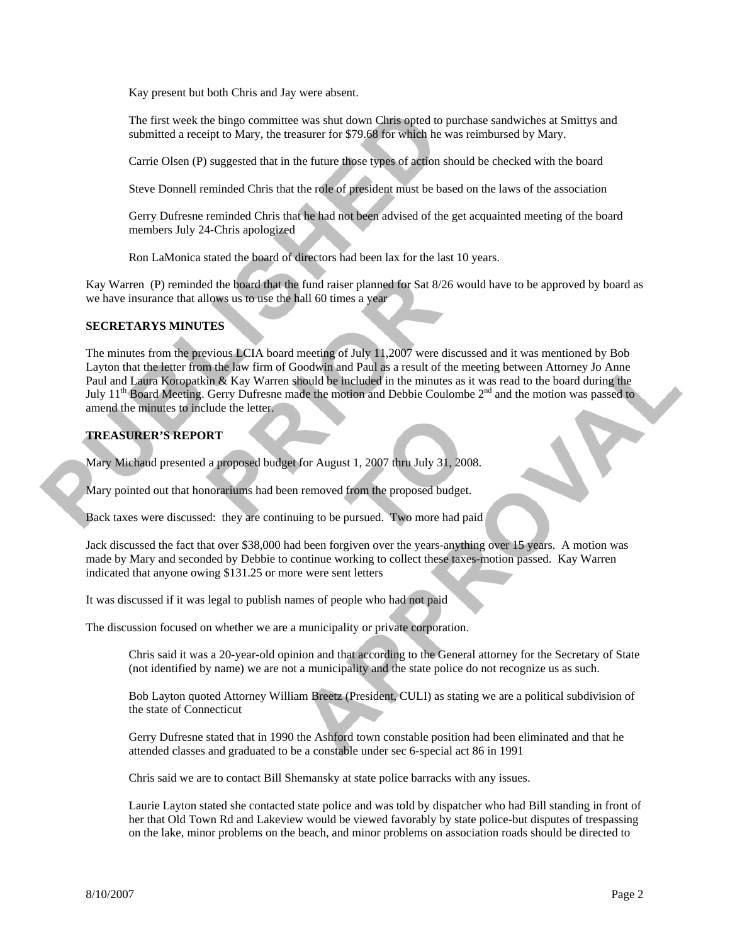Kay present but both Chris and Jay were absent.

The first week the bingo committee was shut down Chris opted to purchase sandwiches at Smittys and submitted a receipt to Mary, the treasurer for \$79.68 for which he was reimbursed by Mary.

Carrie Olsen (P) suggested that in the future those types of action should be checked with the board

Steve Donnell reminded Chris that the role of president must be based on the laws of the association

Gerry Dufresne reminded Chris that he had not been advised of the get acquainted meeting of the board members July 24-Chris apologized

Ron LaMonica stated the board of directors had been lax for the last 10 years.

Kay Warren (P) reminded the board that the fund raiser planned for Sat 8/26 would have to be approved by board as we have insurance that allows us to use the hall 60 times a year

## **SECRETARYS MINUTES**

The minutes from the previous LCIA board meeting of July 11,2007 were discussed and it was mentioned by Bob Layton that the letter from the law firm of Goodwin and Paul as a result of the meeting between Attorney Jo Anne Paul and Laura Koropatkin & Kay Warren should be included in the minutes as it was read to the board during the July  $11<sup>th</sup>$  Board Meeting. Gerry Dufresne made the motion and Debbie Coulombe  $2<sup>nd</sup>$  and the motion was passed to amend the minutes to include the letter.

## **TREASURER'S REPORT**

Mary Michaud presented a proposed budget for August 1, 2007 thru July 31, 2008.

Mary pointed out that honorariums had been removed from the proposed budget.

Back taxes were discussed: they are continuing to be pursued. Two more had paid

Jack discussed the fact that over \$38,000 had been forgiven over the years-anything over 15 years. A motion was made by Mary and seconded by Debbie to continue working to collect these taxes-motion passed. Kay Warren indicated that anyone owing \$131.25 or more were sent letters

It was discussed if it was legal to publish names of people who had not paid

The discussion focused on whether we are a municipality or private corporation.

Chris said it was a 20-year-old opinion and that according to the General attorney for the Secretary of State (not identified by name) we are not a municipality and the state police do not recognize us as such.

Bob Layton quoted Attorney William Breetz (President, CULI) as stating we are a political subdivision of the state of Connecticut

Gerry Dufresne stated that in 1990 the Ashford town constable position had been eliminated and that he attended classes and graduated to be a constable under sec 6-special act 86 in 1991

Chris said we are to contact Bill Shemansky at state police barracks with any issues.

Laurie Layton stated she contacted state police and was told by dispatcher who had Bill standing in front of her that Old Town Rd and Lakeview would be viewed favorably by state police-but disputes of trespassing on the lake, minor problems on the beach, and minor problems on association roads should be directed to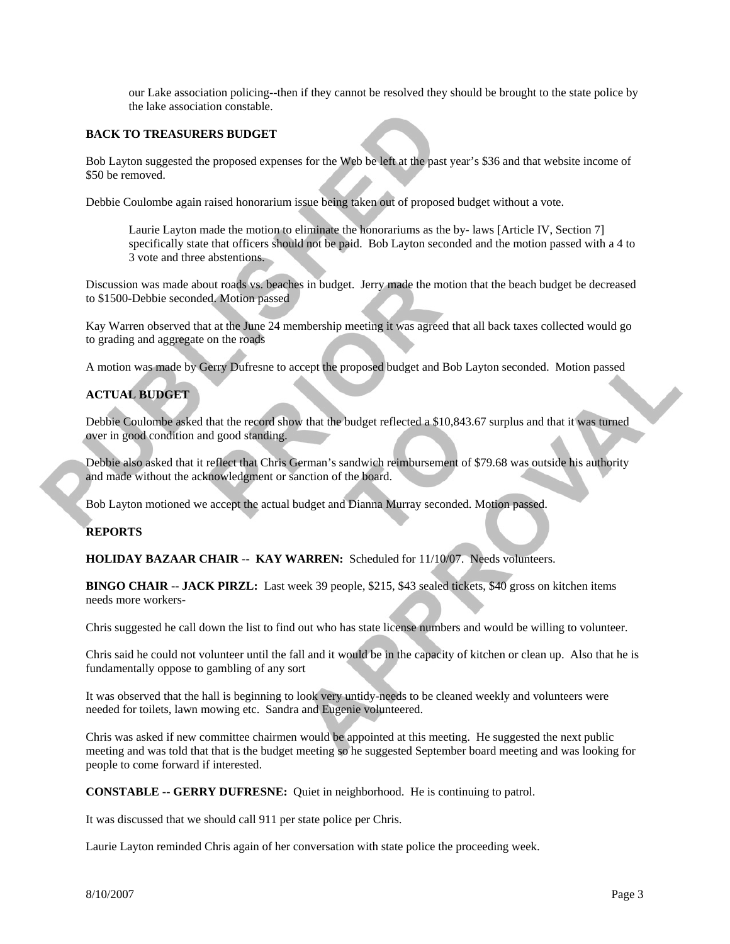our Lake association policing--then if they cannot be resolved they should be brought to the state police by the lake association constable.

## **BACK TO TREASURERS BUDGET**

Bob Layton suggested the proposed expenses for the Web be left at the past year's \$36 and that website income of \$50 be removed.

Debbie Coulombe again raised honorarium issue being taken out of proposed budget without a vote.

Laurie Layton made the motion to eliminate the honorariums as the by- laws [Article IV, Section 7] specifically state that officers should not be paid. Bob Layton seconded and the motion passed with a 4 to 3 vote and three abstentions.

Discussion was made about roads vs. beaches in budget. Jerry made the motion that the beach budget be decreased to \$1500-Debbie seconded. Motion passed

Kay Warren observed that at the June 24 membership meeting it was agreed that all back taxes collected would go to grading and aggregate on the roads

A motion was made by Gerry Dufresne to accept the proposed budget and Bob Layton seconded. Motion passed

## **ACTUAL BUDGET**

Debbie Coulombe asked that the record show that the budget reflected a \$10,843.67 surplus and that it was turned over in good condition and good standing.

Debbie also asked that it reflect that Chris German's sandwich reimbursement of \$79.68 was outside his authority and made without the acknowledgment or sanction of the board.

Bob Layton motioned we accept the actual budget and Dianna Murray seconded. Motion passed.

#### **REPORTS**

**HOLIDAY BAZAAR CHAIR** -**- KAY WARREN:** Scheduled for 11/10/07. Needs volunteers.

**BINGO CHAIR -- JACK PIRZL:** Last week 39 people, \$215, \$43 sealed tickets, \$40 gross on kitchen items needs more workers-

Chris suggested he call down the list to find out who has state license numbers and would be willing to volunteer.

Chris said he could not volunteer until the fall and it would be in the capacity of kitchen or clean up. Also that he is fundamentally oppose to gambling of any sort

It was observed that the hall is beginning to look very untidy-needs to be cleaned weekly and volunteers were needed for toilets, lawn mowing etc. Sandra and Eugenie volunteered.

Chris was asked if new committee chairmen would be appointed at this meeting. He suggested the next public meeting and was told that that is the budget meeting so he suggested September board meeting and was looking for people to come forward if interested.

**CONSTABLE -- GERRY DUFRESNE:** Quiet in neighborhood. He is continuing to patrol.

It was discussed that we should call 911 per state police per Chris.

Laurie Layton reminded Chris again of her conversation with state police the proceeding week.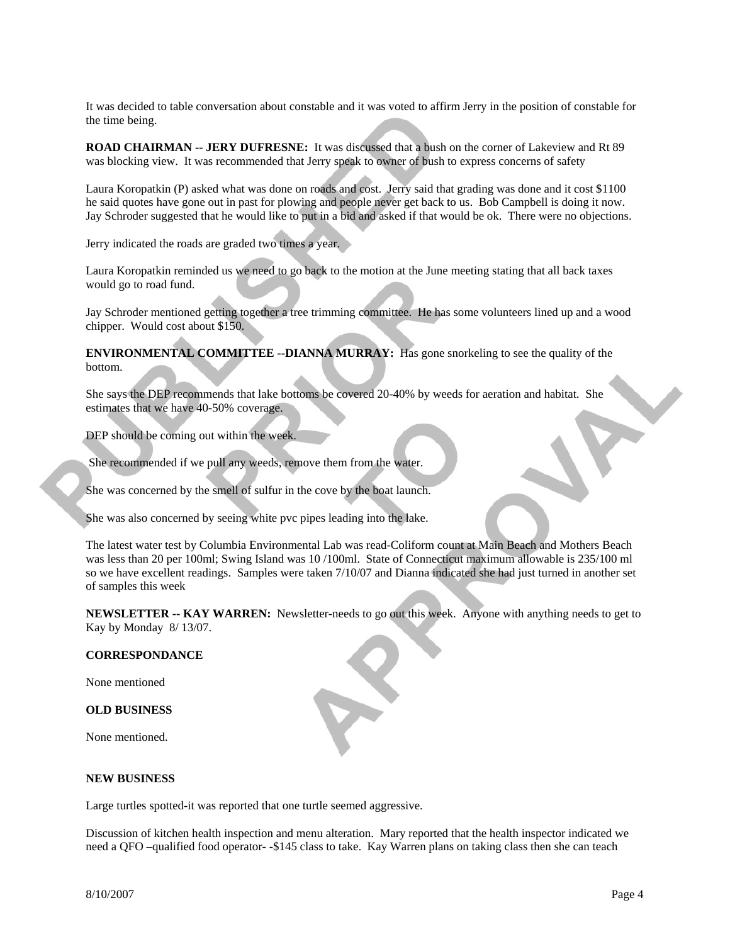It was decided to table conversation about constable and it was voted to affirm Jerry in the position of constable for the time being.

**ROAD CHAIRMAN -- JERY DUFRESNE:** It was discussed that a bush on the corner of Lakeview and Rt 89 was blocking view. It was recommended that Jerry speak to owner of bush to express concerns of safety

Laura Koropatkin (P) asked what was done on roads and cost. Jerry said that grading was done and it cost \$1100 he said quotes have gone out in past for plowing and people never get back to us. Bob Campbell is doing it now. Jay Schroder suggested that he would like to put in a bid and asked if that would be ok. There were no objections.

Jerry indicated the roads are graded two times a year.

Laura Koropatkin reminded us we need to go back to the motion at the June meeting stating that all back taxes would go to road fund.

Jay Schroder mentioned getting together a tree trimming committee. He has some volunteers lined up and a wood chipper. Would cost about \$150.

**ENVIRONMENTAL COMMITTEE --DIANNA MURRAY:** Has gone snorkeling to see the quality of the bottom.

She says the DEP recommends that lake bottoms be covered 20-40% by weeds for aeration and habitat. She estimates that we have 40-50% coverage.

DEP should be coming out within the week.

She recommended if we pull any weeds, remove them from the water.

She was concerned by the smell of sulfur in the cove by the boat launch.

She was also concerned by seeing white pvc pipes leading into the lake.

The latest water test by Columbia Environmental Lab was read-Coliform count at Main Beach and Mothers Beach was less than 20 per 100ml; Swing Island was 10 /100ml. State of Connecticut maximum allowable is 235/100 ml so we have excellent readings. Samples were taken 7/10/07 and Dianna indicated she had just turned in another set of samples this week

**NEWSLETTER -- KAY WARREN:** Newsletter-needs to go out this week. Anyone with anything needs to get to Kay by Monday 8/ 13/07.

### **CORRESPONDANCE**

None mentioned

**OLD BUSINESS** 

None mentioned.

#### **NEW BUSINESS**

Large turtles spotted-it was reported that one turtle seemed aggressive.

Discussion of kitchen health inspection and menu alteration. Mary reported that the health inspector indicated we need a QFO –qualified food operator- -\$145 class to take. Kay Warren plans on taking class then she can teach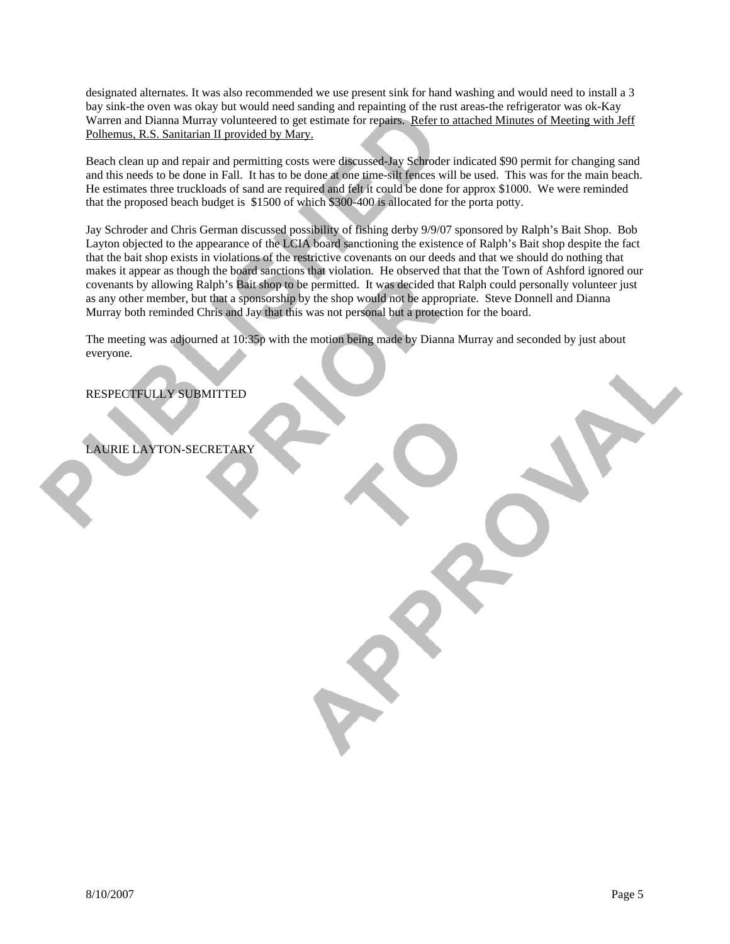designated alternates. It was also recommended we use present sink for hand washing and would need to install a 3 bay sink-the oven was okay but would need sanding and repainting of the rust areas-the refrigerator was ok-Kay Warren and Dianna Murray volunteered to get estimate for repairs. Refer to attached Minutes of Meeting with Jeff Polhemus, R.S. Sanitarian II provided by Mary.

Beach clean up and repair and permitting costs were discussed-Jay Schroder indicated \$90 permit for changing sand and this needs to be done in Fall. It has to be done at one time-silt fences will be used. This was for the main beach. He estimates three truckloads of sand are required and felt it could be done for approx \$1000. We were reminded that the proposed beach budget is \$1500 of which \$300-400 is allocated for the porta potty.

Jay Schroder and Chris German discussed possibility of fishing derby 9/9/07 sponsored by Ralph's Bait Shop. Bob Layton objected to the appearance of the LCIA board sanctioning the existence of Ralph's Bait shop despite the fact that the bait shop exists in violations of the restrictive covenants on our deeds and that we should do nothing that makes it appear as though the board sanctions that violation. He observed that that the Town of Ashford ignored our covenants by allowing Ralph's Bait shop to be permitted. It was decided that Ralph could personally volunteer just as any other member, but that a sponsorship by the shop would not be appropriate. Steve Donnell and Dianna Murray both reminded Chris and Jay that this was not personal but a protection for the board.

The meeting was adjourned at 10:35p with the motion being made by Dianna Murray and seconded by just about everyone.

# RESPECTFULLY SUBMITTED

LAURIE LAYTON-SECRETARY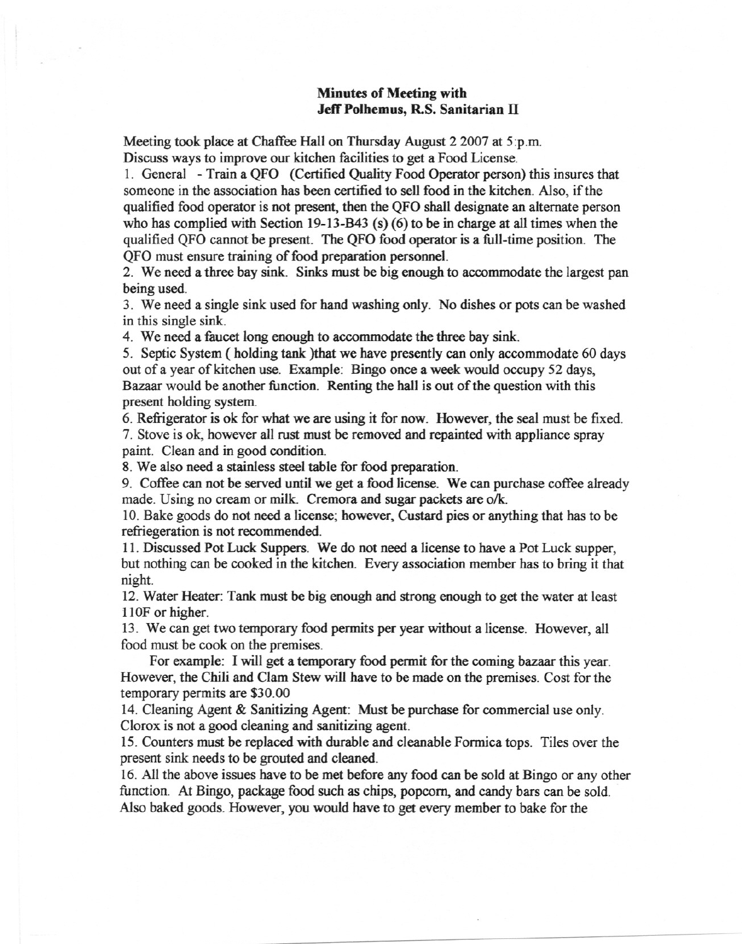## **Minutes of Meeting with** Jeff Polhemus, R.S. Sanitarian II

Meeting took place at Chaffee Hall on Thursday August 2 2007 at 5:p.m. Discuss ways to improve our kitchen facilities to get a Food License.

1. General - Train a QFO (Certified Quality Food Operator person) this insures that someone in the association has been certified to sell food in the kitchen. Also, if the qualified food operator is not present, then the QFO shall designate an alternate person who has complied with Section 19-13-B43 (s) (6) to be in charge at all times when the qualified QFO cannot be present. The QFO food operator is a full-time position. The OFO must ensure training of food preparation personnel.

2. We need a three bay sink. Sinks must be big enough to accommodate the largest pan being used.

3. We need a single sink used for hand washing only. No dishes or pots can be washed in this single sink.

4. We need a faucet long enough to accommodate the three bay sink.

5. Septic System (holding tank ) that we have presently can only accommodate 60 days out of a year of kitchen use. Example: Bingo once a week would occupy 52 days, Bazaar would be another function. Renting the hall is out of the question with this present holding system.

6. Refrigerator is ok for what we are using it for now. However, the seal must be fixed. 7. Stove is ok, however all rust must be removed and repainted with appliance spray paint. Clean and in good condition.

8. We also need a stainless steel table for food preparation.

9. Coffee can not be served until we get a food license. We can purchase coffee already made. Using no cream or milk. Cremora and sugar packets are o/k.

10. Bake goods do not need a license; however, Custard pies or anything that has to be refriegeration is not recommended.

11. Discussed Pot Luck Suppers. We do not need a license to have a Pot Luck supper. but nothing can be cooked in the kitchen. Every association member has to bring it that night.

12. Water Heater: Tank must be big enough and strong enough to get the water at least 110F or higher.

13. We can get two temporary food permits per year without a license. However, all food must be cook on the premises.

For example: I will get a temporary food permit for the coming bazaar this year. However, the Chili and Clam Stew will have to be made on the premises. Cost for the temporary permits are \$30.00

14. Cleaning Agent & Sanitizing Agent: Must be purchase for commercial use only. Clorox is not a good cleaning and sanitizing agent.

15. Counters must be replaced with durable and cleanable Formica tops. Tiles over the present sink needs to be grouted and cleaned.

16. All the above issues have to be met before any food can be sold at Bingo or any other function. At Bingo, package food such as chips, popcorn, and candy bars can be sold. Also baked goods. However, you would have to get every member to bake for the